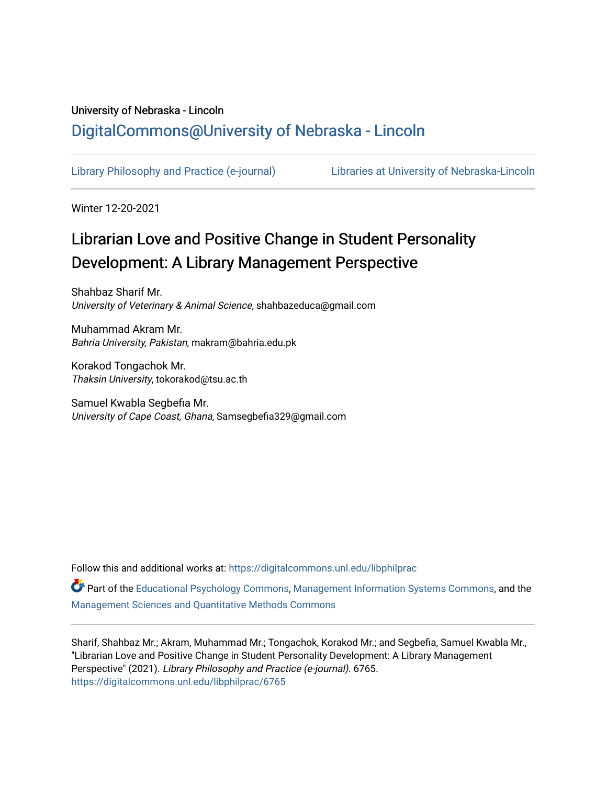# University of Nebraska - Lincoln [DigitalCommons@University of Nebraska - Lincoln](https://digitalcommons.unl.edu/)

[Library Philosophy and Practice \(e-journal\)](https://digitalcommons.unl.edu/libphilprac) [Libraries at University of Nebraska-Lincoln](https://digitalcommons.unl.edu/libraries) 

Winter 12-20-2021

# Librarian Love and Positive Change in Student Personality Development: A Library Management Perspective

Shahbaz Sharif Mr. University of Veterinary & Animal Science, shahbazeduca@gmail.com

Muhammad Akram Mr. Bahria University, Pakistan, makram@bahria.edu.pk

Korakod Tongachok Mr. Thaksin University, tokorakod@tsu.ac.th

Samuel Kwabla Segbefia Mr. University of Cape Coast, Ghana, Samsegbefia329@gmail.com

Follow this and additional works at: [https://digitalcommons.unl.edu/libphilprac](https://digitalcommons.unl.edu/libphilprac?utm_source=digitalcommons.unl.edu%2Flibphilprac%2F6765&utm_medium=PDF&utm_campaign=PDFCoverPages) 

Part of the [Educational Psychology Commons,](http://network.bepress.com/hgg/discipline/798?utm_source=digitalcommons.unl.edu%2Flibphilprac%2F6765&utm_medium=PDF&utm_campaign=PDFCoverPages) [Management Information Systems Commons,](http://network.bepress.com/hgg/discipline/636?utm_source=digitalcommons.unl.edu%2Flibphilprac%2F6765&utm_medium=PDF&utm_campaign=PDFCoverPages) and the [Management Sciences and Quantitative Methods Commons](http://network.bepress.com/hgg/discipline/637?utm_source=digitalcommons.unl.edu%2Flibphilprac%2F6765&utm_medium=PDF&utm_campaign=PDFCoverPages) 

Sharif, Shahbaz Mr.; Akram, Muhammad Mr.; Tongachok, Korakod Mr.; and Segbefia, Samuel Kwabla Mr., "Librarian Love and Positive Change in Student Personality Development: A Library Management Perspective" (2021). Library Philosophy and Practice (e-journal). 6765. [https://digitalcommons.unl.edu/libphilprac/6765](https://digitalcommons.unl.edu/libphilprac/6765?utm_source=digitalcommons.unl.edu%2Flibphilprac%2F6765&utm_medium=PDF&utm_campaign=PDFCoverPages)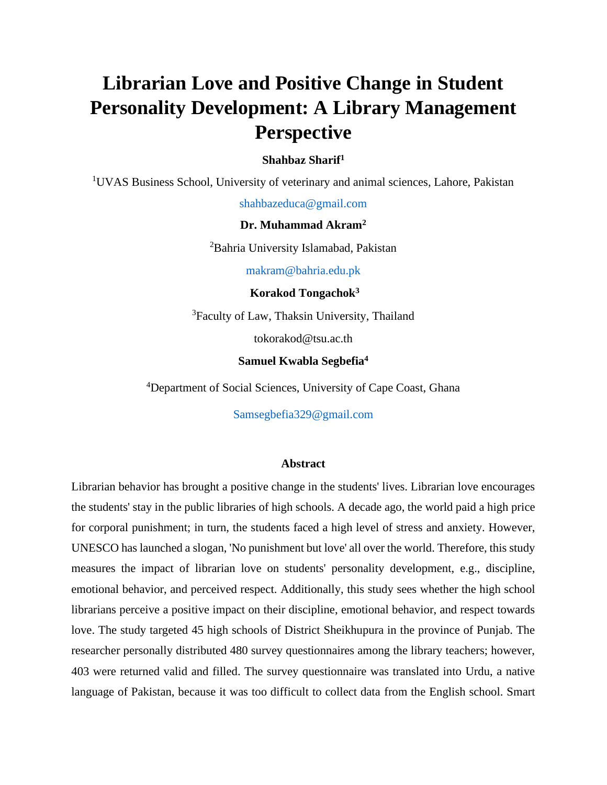# **Librarian Love and Positive Change in Student Personality Development: A Library Management Perspective**

# **Shahbaz Sharif<sup>1</sup>**

<sup>1</sup>UVAS Business School, University of veterinary and animal sciences, Lahore, Pakistan

shahbazeduca@gmail.com

# **Dr. Muhammad Akram<sup>2</sup>**

<sup>2</sup>Bahria University Islamabad, Pakistan

makram@bahria.edu.pk

**Korakod Tongachok<sup>3</sup>**

<sup>3</sup>Faculty of Law, Thaksin University, Thailand

tokorakod@tsu.ac.th

#### **Samuel Kwabla Segbefia<sup>4</sup>**

<sup>4</sup>Department of Social Sciences, University of Cape Coast, Ghana

Samsegbefia329@gmail.com

#### **Abstract**

Librarian behavior has brought a positive change in the students' lives. Librarian love encourages the students' stay in the public libraries of high schools. A decade ago, the world paid a high price for corporal punishment; in turn, the students faced a high level of stress and anxiety. However, UNESCO has launched a slogan, 'No punishment but love' all over the world. Therefore, this study measures the impact of librarian love on students' personality development, e.g., discipline, emotional behavior, and perceived respect. Additionally, this study sees whether the high school librarians perceive a positive impact on their discipline, emotional behavior, and respect towards love. The study targeted 45 high schools of District Sheikhupura in the province of Punjab. The researcher personally distributed 480 survey questionnaires among the library teachers; however, 403 were returned valid and filled. The survey questionnaire was translated into Urdu, a native language of Pakistan, because it was too difficult to collect data from the English school. Smart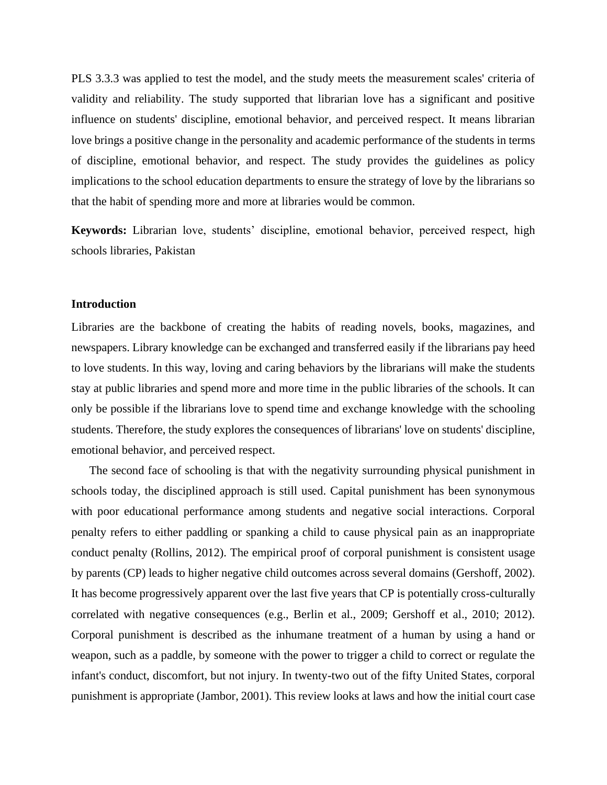PLS 3.3.3 was applied to test the model, and the study meets the measurement scales' criteria of validity and reliability. The study supported that librarian love has a significant and positive influence on students' discipline, emotional behavior, and perceived respect. It means librarian love brings a positive change in the personality and academic performance of the students in terms of discipline, emotional behavior, and respect. The study provides the guidelines as policy implications to the school education departments to ensure the strategy of love by the librarians so that the habit of spending more and more at libraries would be common.

**Keywords:** Librarian love, students' discipline, emotional behavior, perceived respect, high schools libraries, Pakistan

#### **Introduction**

Libraries are the backbone of creating the habits of reading novels, books, magazines, and newspapers. Library knowledge can be exchanged and transferred easily if the librarians pay heed to love students. In this way, loving and caring behaviors by the librarians will make the students stay at public libraries and spend more and more time in the public libraries of the schools. It can only be possible if the librarians love to spend time and exchange knowledge with the schooling students. Therefore, the study explores the consequences of librarians' love on students' discipline, emotional behavior, and perceived respect.

The second face of schooling is that with the negativity surrounding physical punishment in schools today, the disciplined approach is still used. Capital punishment has been synonymous with poor educational performance among students and negative social interactions. Corporal penalty refers to either paddling or spanking a child to cause physical pain as an inappropriate conduct penalty (Rollins, 2012). The empirical proof of corporal punishment is consistent usage by parents (CP) leads to higher negative child outcomes across several domains (Gershoff, 2002). It has become progressively apparent over the last five years that CP is potentially cross-culturally correlated with negative consequences (e.g., Berlin et al., 2009; Gershoff et al., 2010; 2012). Corporal punishment is described as the inhumane treatment of a human by using a hand or weapon, such as a paddle, by someone with the power to trigger a child to correct or regulate the infant's conduct, discomfort, but not injury. In twenty-two out of the fifty United States, corporal punishment is appropriate (Jambor, 2001). This review looks at laws and how the initial court case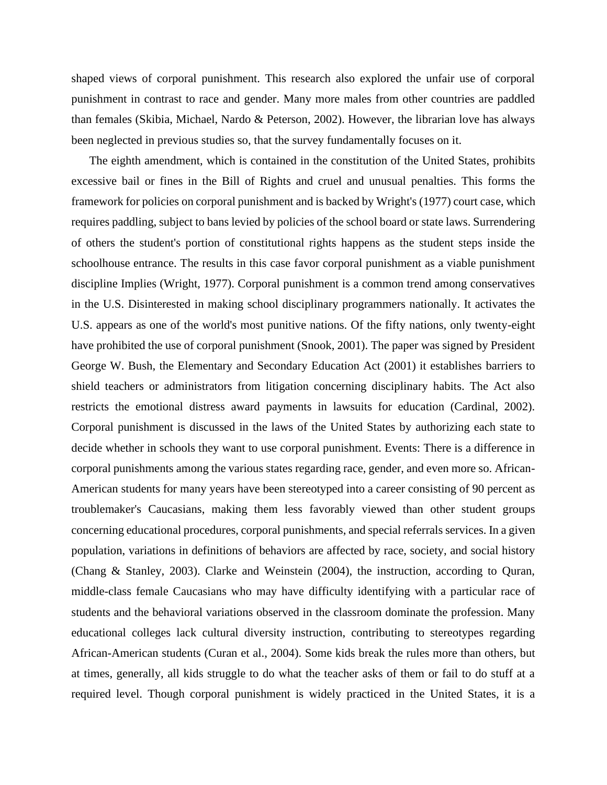shaped views of corporal punishment. This research also explored the unfair use of corporal punishment in contrast to race and gender. Many more males from other countries are paddled than females (Skibia, Michael, Nardo & Peterson, 2002). However, the librarian love has always been neglected in previous studies so, that the survey fundamentally focuses on it.

The eighth amendment, which is contained in the constitution of the United States, prohibits excessive bail or fines in the Bill of Rights and cruel and unusual penalties. This forms the framework for policies on corporal punishment and is backed by Wright's (1977) court case, which requires paddling, subject to bans levied by policies of the school board or state laws. Surrendering of others the student's portion of constitutional rights happens as the student steps inside the schoolhouse entrance. The results in this case favor corporal punishment as a viable punishment discipline Implies (Wright, 1977). Corporal punishment is a common trend among conservatives in the U.S. Disinterested in making school disciplinary programmers nationally. It activates the U.S. appears as one of the world's most punitive nations. Of the fifty nations, only twenty-eight have prohibited the use of corporal punishment (Snook, 2001). The paper was signed by President George W. Bush, the Elementary and Secondary Education Act (2001) it establishes barriers to shield teachers or administrators from litigation concerning disciplinary habits. The Act also restricts the emotional distress award payments in lawsuits for education (Cardinal, 2002). Corporal punishment is discussed in the laws of the United States by authorizing each state to decide whether in schools they want to use corporal punishment. Events: There is a difference in corporal punishments among the various states regarding race, gender, and even more so. African-American students for many years have been stereotyped into a career consisting of 90 percent as troublemaker's Caucasians, making them less favorably viewed than other student groups concerning educational procedures, corporal punishments, and special referrals services. In a given population, variations in definitions of behaviors are affected by race, society, and social history (Chang & Stanley, 2003). Clarke and Weinstein (2004), the instruction, according to Quran, middle-class female Caucasians who may have difficulty identifying with a particular race of students and the behavioral variations observed in the classroom dominate the profession. Many educational colleges lack cultural diversity instruction, contributing to stereotypes regarding African-American students (Curan et al., 2004). Some kids break the rules more than others, but at times, generally, all kids struggle to do what the teacher asks of them or fail to do stuff at a required level. Though corporal punishment is widely practiced in the United States, it is a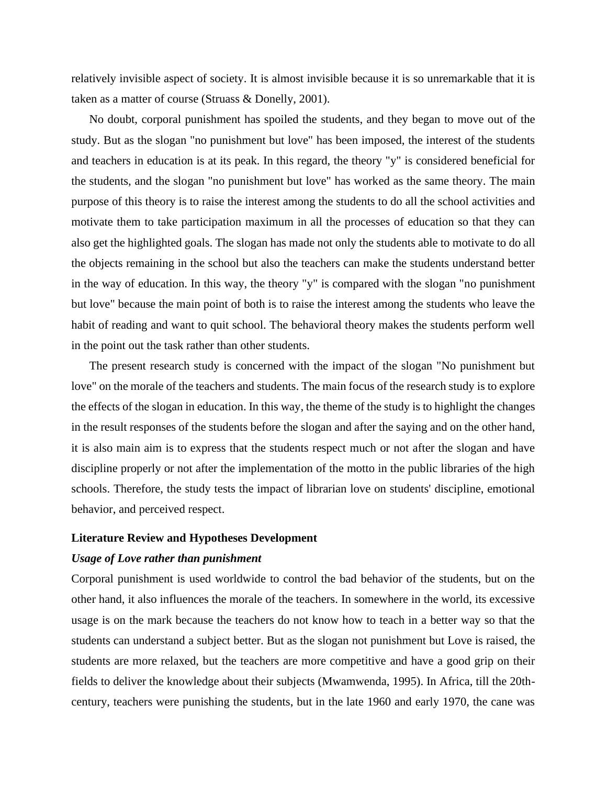relatively invisible aspect of society. It is almost invisible because it is so unremarkable that it is taken as a matter of course (Struass & Donelly, 2001).

No doubt, corporal punishment has spoiled the students, and they began to move out of the study. But as the slogan "no punishment but love" has been imposed, the interest of the students and teachers in education is at its peak. In this regard, the theory "y" is considered beneficial for the students, and the slogan "no punishment but love" has worked as the same theory. The main purpose of this theory is to raise the interest among the students to do all the school activities and motivate them to take participation maximum in all the processes of education so that they can also get the highlighted goals. The slogan has made not only the students able to motivate to do all the objects remaining in the school but also the teachers can make the students understand better in the way of education. In this way, the theory "y" is compared with the slogan "no punishment but love" because the main point of both is to raise the interest among the students who leave the habit of reading and want to quit school. The behavioral theory makes the students perform well in the point out the task rather than other students.

The present research study is concerned with the impact of the slogan "No punishment but love" on the morale of the teachers and students. The main focus of the research study is to explore the effects of the slogan in education. In this way, the theme of the study is to highlight the changes in the result responses of the students before the slogan and after the saying and on the other hand, it is also main aim is to express that the students respect much or not after the slogan and have discipline properly or not after the implementation of the motto in the public libraries of the high schools. Therefore, the study tests the impact of librarian love on students' discipline, emotional behavior, and perceived respect.

#### **Literature Review and Hypotheses Development**

#### *Usage of Love rather than punishment*

Corporal punishment is used worldwide to control the bad behavior of the students, but on the other hand, it also influences the morale of the teachers. In somewhere in the world, its excessive usage is on the mark because the teachers do not know how to teach in a better way so that the students can understand a subject better. But as the slogan not punishment but Love is raised, the students are more relaxed, but the teachers are more competitive and have a good grip on their fields to deliver the knowledge about their subjects (Mwamwenda, 1995). In Africa, till the 20thcentury, teachers were punishing the students, but in the late 1960 and early 1970, the cane was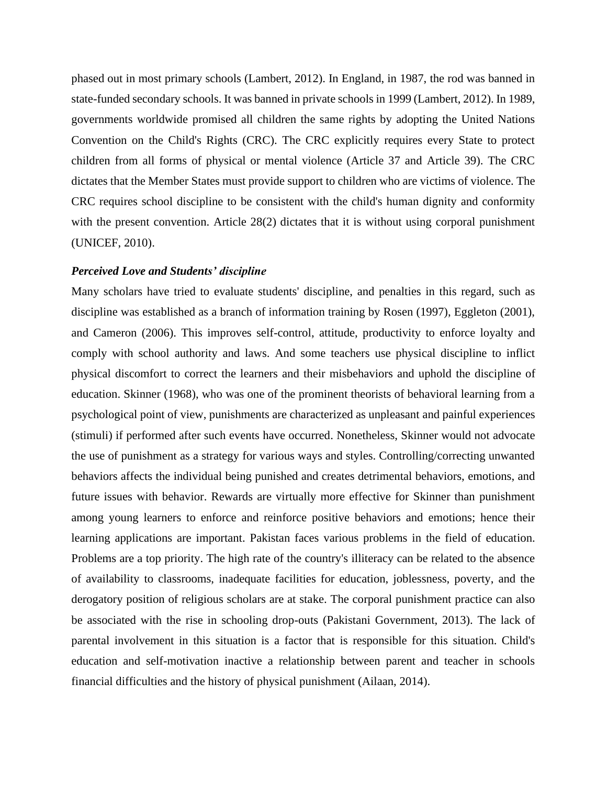phased out in most primary schools (Lambert, 2012). In England, in 1987, the rod was banned in state-funded secondary schools. It was banned in private schools in 1999 (Lambert, 2012). In 1989, governments worldwide promised all children the same rights by adopting the United Nations Convention on the Child's Rights (CRC). The CRC explicitly requires every State to protect children from all forms of physical or mental violence (Article 37 and Article 39). The CRC dictates that the Member States must provide support to children who are victims of violence. The CRC requires school discipline to be consistent with the child's human dignity and conformity with the present convention. Article 28(2) dictates that it is without using corporal punishment (UNICEF, 2010).

#### *Perceived Love and Students' discipline*

Many scholars have tried to evaluate students' discipline, and penalties in this regard, such as discipline was established as a branch of information training by Rosen (1997), Eggleton (2001), and Cameron (2006). This improves self-control, attitude, productivity to enforce loyalty and comply with school authority and laws. And some teachers use physical discipline to inflict physical discomfort to correct the learners and their misbehaviors and uphold the discipline of education. Skinner (1968), who was one of the prominent theorists of behavioral learning from a psychological point of view, punishments are characterized as unpleasant and painful experiences (stimuli) if performed after such events have occurred. Nonetheless, Skinner would not advocate the use of punishment as a strategy for various ways and styles. Controlling/correcting unwanted behaviors affects the individual being punished and creates detrimental behaviors, emotions, and future issues with behavior. Rewards are virtually more effective for Skinner than punishment among young learners to enforce and reinforce positive behaviors and emotions; hence their learning applications are important. Pakistan faces various problems in the field of education. Problems are a top priority. The high rate of the country's illiteracy can be related to the absence of availability to classrooms, inadequate facilities for education, joblessness, poverty, and the derogatory position of religious scholars are at stake. The corporal punishment practice can also be associated with the rise in schooling drop-outs (Pakistani Government, 2013). The lack of parental involvement in this situation is a factor that is responsible for this situation. Child's education and self-motivation inactive a relationship between parent and teacher in schools financial difficulties and the history of physical punishment (Ailaan, 2014).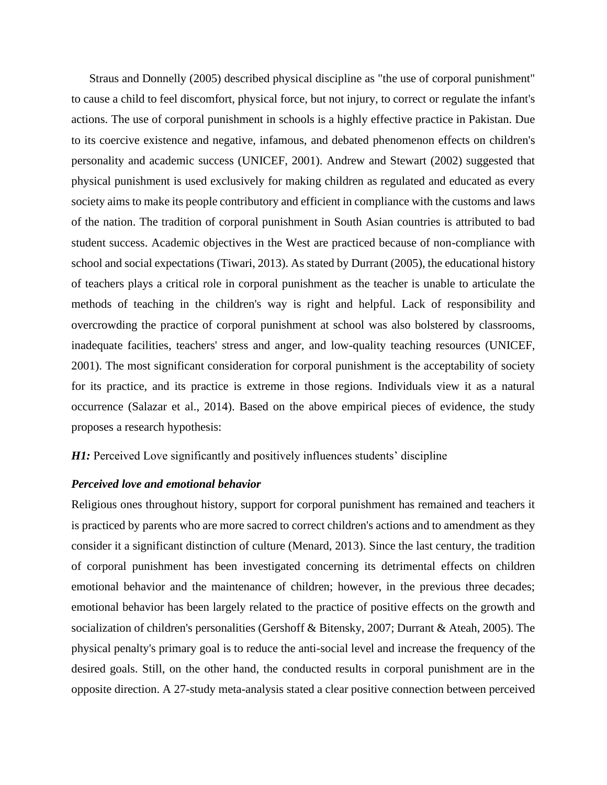Straus and Donnelly (2005) described physical discipline as "the use of corporal punishment" to cause a child to feel discomfort, physical force, but not injury, to correct or regulate the infant's actions. The use of corporal punishment in schools is a highly effective practice in Pakistan. Due to its coercive existence and negative, infamous, and debated phenomenon effects on children's personality and academic success (UNICEF, 2001). Andrew and Stewart (2002) suggested that physical punishment is used exclusively for making children as regulated and educated as every society aims to make its people contributory and efficient in compliance with the customs and laws of the nation. The tradition of corporal punishment in South Asian countries is attributed to bad student success. Academic objectives in the West are practiced because of non-compliance with school and social expectations (Tiwari, 2013). As stated by Durrant (2005), the educational history of teachers plays a critical role in corporal punishment as the teacher is unable to articulate the methods of teaching in the children's way is right and helpful. Lack of responsibility and overcrowding the practice of corporal punishment at school was also bolstered by classrooms, inadequate facilities, teachers' stress and anger, and low-quality teaching resources (UNICEF, 2001). The most significant consideration for corporal punishment is the acceptability of society for its practice, and its practice is extreme in those regions. Individuals view it as a natural occurrence (Salazar et al., 2014). Based on the above empirical pieces of evidence, the study proposes a research hypothesis:

*H1*: Perceived Love significantly and positively influences students' discipline

# *Perceived love and emotional behavior*

Religious ones throughout history, support for corporal punishment has remained and teachers it is practiced by parents who are more sacred to correct children's actions and to amendment as they consider it a significant distinction of culture (Menard, 2013). Since the last century, the tradition of corporal punishment has been investigated concerning its detrimental effects on children emotional behavior and the maintenance of children; however, in the previous three decades; emotional behavior has been largely related to the practice of positive effects on the growth and socialization of children's personalities (Gershoff & Bitensky, 2007; Durrant & Ateah, 2005). The physical penalty's primary goal is to reduce the anti-social level and increase the frequency of the desired goals. Still, on the other hand, the conducted results in corporal punishment are in the opposite direction. A 27-study meta-analysis stated a clear positive connection between perceived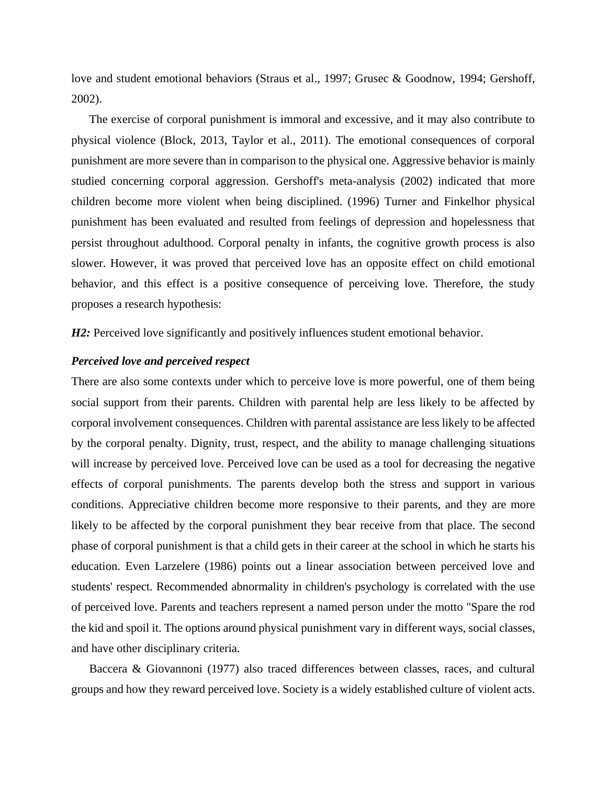love and student emotional behaviors (Straus et al., 1997; Grusec & Goodnow, 1994; Gershoff, 2002).

The exercise of corporal punishment is immoral and excessive, and it may also contribute to physical violence (Block, 2013, Taylor et al., 2011). The emotional consequences of corporal punishment are more severe than in comparison to the physical one. Aggressive behavior is mainly studied concerning corporal aggression. Gershoff's meta-analysis (2002) indicated that more children become more violent when being disciplined. (1996) Turner and Finkelhor physical punishment has been evaluated and resulted from feelings of depression and hopelessness that persist throughout adulthood. Corporal penalty in infants, the cognitive growth process is also slower. However, it was proved that perceived love has an opposite effect on child emotional behavior, and this effect is a positive consequence of perceiving love. Therefore, the study proposes a research hypothesis:

*H2:* Perceived love significantly and positively influences student emotional behavior.

#### *Perceived love and perceived respect*

There are also some contexts under which to perceive love is more powerful, one of them being social support from their parents. Children with parental help are less likely to be affected by corporal involvement consequences. Children with parental assistance are less likely to be affected by the corporal penalty. Dignity, trust, respect, and the ability to manage challenging situations will increase by perceived love. Perceived love can be used as a tool for decreasing the negative effects of corporal punishments. The parents develop both the stress and support in various conditions. Appreciative children become more responsive to their parents, and they are more likely to be affected by the corporal punishment they bear receive from that place. The second phase of corporal punishment is that a child gets in their career at the school in which he starts his education. Even Larzelere (1986) points out a linear association between perceived love and students' respect. Recommended abnormality in children's psychology is correlated with the use of perceived love. Parents and teachers represent a named person under the motto "Spare the rod the kid and spoil it. The options around physical punishment vary in different ways, social classes, and have other disciplinary criteria.

Baccera & Giovannoni (1977) also traced differences between classes, races, and cultural groups and how they reward perceived love. Society is a widely established culture of violent acts.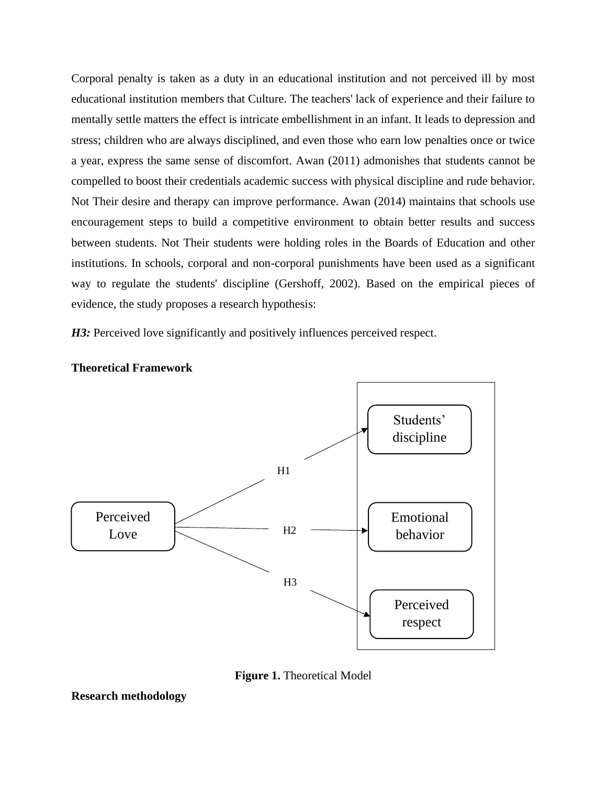Corporal penalty is taken as a duty in an educational institution and not perceived ill by most educational institution members that Culture. The teachers' lack of experience and their failure to mentally settle matters the effect is intricate embellishment in an infant. It leads to depression and stress; children who are always disciplined, and even those who earn low penalties once or twice a year, express the same sense of discomfort. Awan (2011) admonishes that students cannot be compelled to boost their credentials academic success with physical discipline and rude behavior. Not Their desire and therapy can improve performance. Awan (2014) maintains that schools use encouragement steps to build a competitive environment to obtain better results and success between students. Not Their students were holding roles in the Boards of Education and other institutions. In schools, corporal and non-corporal punishments have been used as a significant way to regulate the students' discipline (Gershoff, 2002). Based on the empirical pieces of evidence, the study proposes a research hypothesis:

*H3:* Perceived love significantly and positively influences perceived respect.



**Theoretical Framework**



**Research methodology**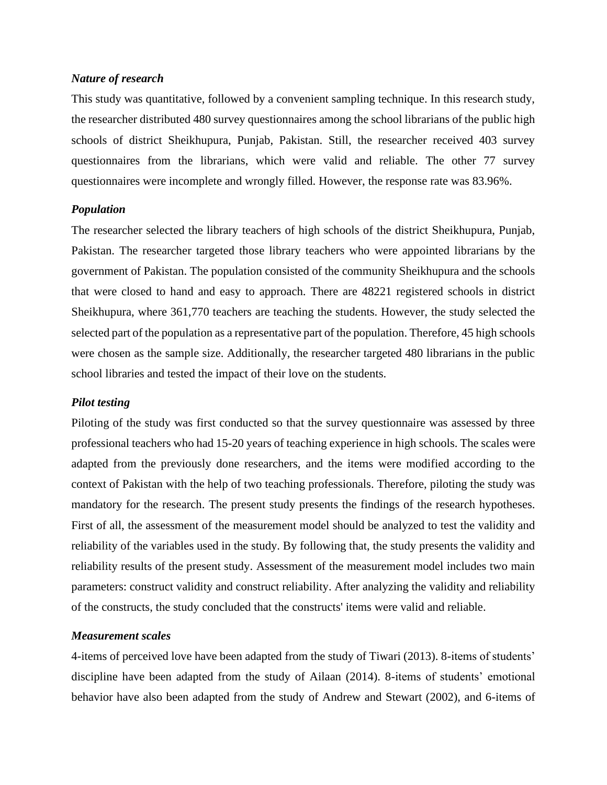# *Nature of research*

This study was quantitative, followed by a convenient sampling technique. In this research study, the researcher distributed 480 survey questionnaires among the school librarians of the public high schools of district Sheikhupura, Punjab, Pakistan. Still, the researcher received 403 survey questionnaires from the librarians, which were valid and reliable. The other 77 survey questionnaires were incomplete and wrongly filled. However, the response rate was 83.96%.

### *Population*

The researcher selected the library teachers of high schools of the district Sheikhupura, Punjab, Pakistan. The researcher targeted those library teachers who were appointed librarians by the government of Pakistan. The population consisted of the community Sheikhupura and the schools that were closed to hand and easy to approach. There are 48221 registered schools in district Sheikhupura, where 361,770 teachers are teaching the students. However, the study selected the selected part of the population as a representative part of the population. Therefore, 45 high schools were chosen as the sample size. Additionally, the researcher targeted 480 librarians in the public school libraries and tested the impact of their love on the students.

#### *Pilot testing*

Piloting of the study was first conducted so that the survey questionnaire was assessed by three professional teachers who had 15-20 years of teaching experience in high schools. The scales were adapted from the previously done researchers, and the items were modified according to the context of Pakistan with the help of two teaching professionals. Therefore, piloting the study was mandatory for the research. The present study presents the findings of the research hypotheses. First of all, the assessment of the measurement model should be analyzed to test the validity and reliability of the variables used in the study. By following that, the study presents the validity and reliability results of the present study. Assessment of the measurement model includes two main parameters: construct validity and construct reliability. After analyzing the validity and reliability of the constructs, the study concluded that the constructs' items were valid and reliable.

#### *Measurement scales*

4-items of perceived love have been adapted from the study of Tiwari (2013). 8-items of students' discipline have been adapted from the study of Ailaan (2014). 8-items of students' emotional behavior have also been adapted from the study of Andrew and Stewart (2002), and 6-items of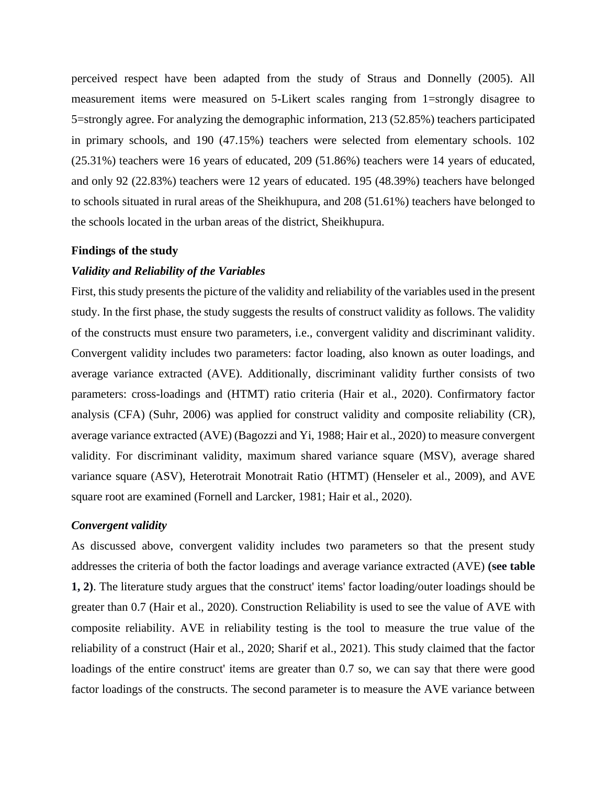perceived respect have been adapted from the study of Straus and Donnelly (2005). All measurement items were measured on 5-Likert scales ranging from 1=strongly disagree to 5=strongly agree. For analyzing the demographic information, 213 (52.85%) teachers participated in primary schools, and 190 (47.15%) teachers were selected from elementary schools. 102 (25.31%) teachers were 16 years of educated, 209 (51.86%) teachers were 14 years of educated, and only 92 (22.83%) teachers were 12 years of educated. 195 (48.39%) teachers have belonged to schools situated in rural areas of the Sheikhupura, and 208 (51.61%) teachers have belonged to the schools located in the urban areas of the district, Sheikhupura.

#### **Findings of the study**

#### *Validity and Reliability of the Variables*

First, this study presents the picture of the validity and reliability of the variables used in the present study. In the first phase, the study suggests the results of construct validity as follows. The validity of the constructs must ensure two parameters, i.e., convergent validity and discriminant validity. Convergent validity includes two parameters: factor loading, also known as outer loadings, and average variance extracted (AVE). Additionally, discriminant validity further consists of two parameters: cross-loadings and (HTMT) ratio criteria (Hair et al., 2020). Confirmatory factor analysis (CFA) (Suhr, 2006) was applied for construct validity and composite reliability (CR), average variance extracted (AVE) (Bagozzi and Yi, 1988; Hair et al., 2020) to measure convergent validity. For discriminant validity, maximum shared variance square (MSV), average shared variance square (ASV), Heterotrait Monotrait Ratio (HTMT) (Henseler et al., 2009), and AVE square root are examined (Fornell and Larcker, 1981; Hair et al., 2020).

#### *Convergent validity*

As discussed above, convergent validity includes two parameters so that the present study addresses the criteria of both the factor loadings and average variance extracted (AVE) **(see table 1, 2)**. The literature study argues that the construct' items' factor loading/outer loadings should be greater than 0.7 (Hair et al., 2020). Construction Reliability is used to see the value of AVE with composite reliability. AVE in reliability testing is the tool to measure the true value of the reliability of a construct (Hair et al., 2020; Sharif et al., 2021). This study claimed that the factor loadings of the entire construct' items are greater than 0.7 so, we can say that there were good factor loadings of the constructs. The second parameter is to measure the AVE variance between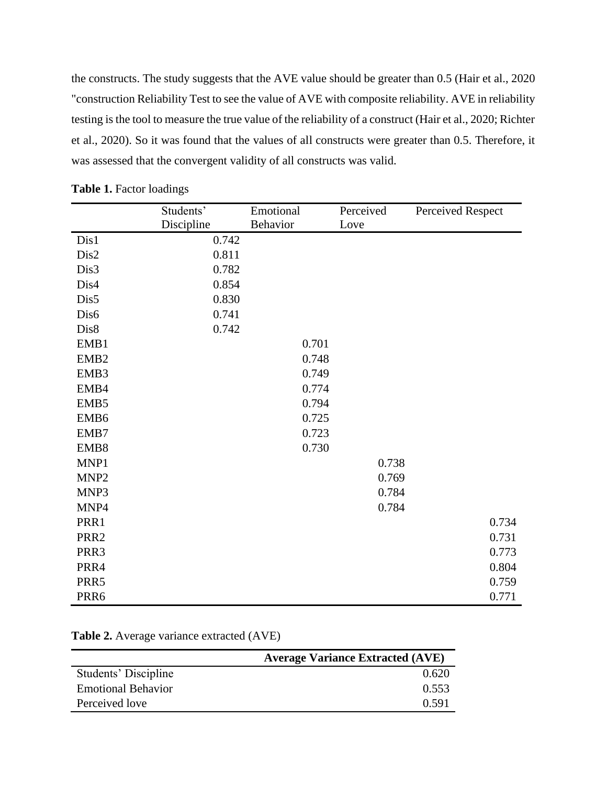the constructs. The study suggests that the AVE value should be greater than 0.5 (Hair et al., 2020 "construction Reliability Test to see the value of AVE with composite reliability. AVE in reliability testing is the tool to measure the true value of the reliability of a construct (Hair et al., 2020; Richter et al., 2020). So it was found that the values of all constructs were greater than 0.5. Therefore, it was assessed that the convergent validity of all constructs was valid.

|                  | Students'  | Emotional | Perceived | Perceived Respect |
|------------------|------------|-----------|-----------|-------------------|
|                  | Discipline | Behavior  | Love      |                   |
| Dis1             | 0.742      |           |           |                   |
| Dis2             | 0.811      |           |           |                   |
| Dis3             | 0.782      |           |           |                   |
| Dis4             | 0.854      |           |           |                   |
| Dis5             | 0.830      |           |           |                   |
| Dis6             | 0.741      |           |           |                   |
| Dis8             | 0.742      |           |           |                   |
| EMB1             |            | 0.701     |           |                   |
| EMB <sub>2</sub> |            | 0.748     |           |                   |
| EMB3             |            | 0.749     |           |                   |
| EMB4             |            | 0.774     |           |                   |
| EMB5             |            | 0.794     |           |                   |
| EMB6             |            | 0.725     |           |                   |
| EMB7             |            | 0.723     |           |                   |
| EMB8             |            | 0.730     |           |                   |
| MNP1             |            |           | 0.738     |                   |
| MNP <sub>2</sub> |            |           | 0.769     |                   |
| MNP3             |            |           | 0.784     |                   |
| MNP4             |            |           | 0.784     |                   |
| PRR1             |            |           |           | 0.734             |
| PRR <sub>2</sub> |            |           |           | 0.731             |
| PRR3             |            |           |           | 0.773             |
| PRR4             |            |           |           | 0.804             |
| PRR5             |            |           |           | 0.759             |
| PRR6             |            |           |           | 0.771             |

|  |  |  | Table 1. Factor loadings |  |  |
|--|--|--|--------------------------|--|--|
|--|--|--|--------------------------|--|--|

| Table 2. Average variance extracted (AVE) |  |  |  |
|-------------------------------------------|--|--|--|
|-------------------------------------------|--|--|--|

|                           | <b>Average Variance Extracted (AVE)</b> |
|---------------------------|-----------------------------------------|
| Students' Discipline      | 0.620                                   |
| <b>Emotional Behavior</b> | 0.553                                   |
| Perceived love            | 0.591                                   |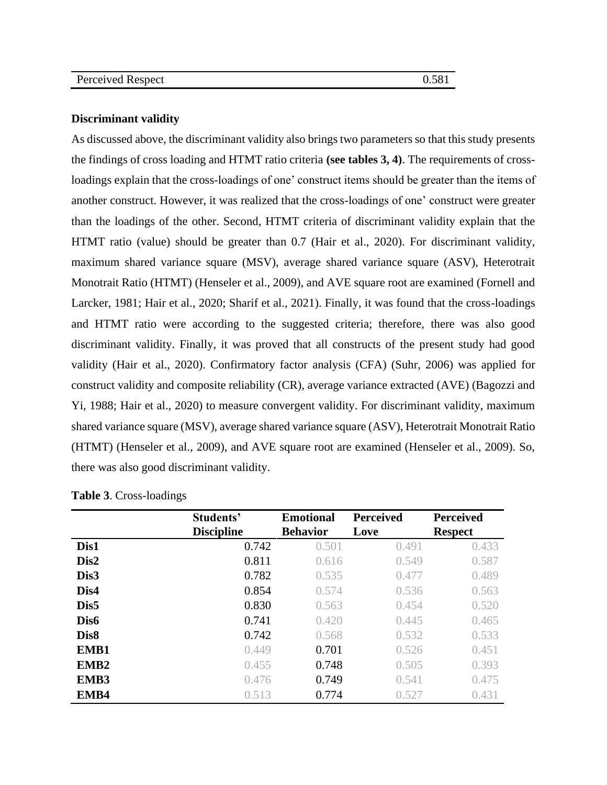#### **Discriminant validity**

As discussed above, the discriminant validity also brings two parameters so that this study presents the findings of cross loading and HTMT ratio criteria **(see tables 3, 4)**. The requirements of crossloadings explain that the cross-loadings of one' construct items should be greater than the items of another construct. However, it was realized that the cross-loadings of one' construct were greater than the loadings of the other. Second, HTMT criteria of discriminant validity explain that the HTMT ratio (value) should be greater than 0.7 (Hair et al., 2020). For discriminant validity, maximum shared variance square (MSV), average shared variance square (ASV), Heterotrait Monotrait Ratio (HTMT) (Henseler et al., 2009), and AVE square root are examined (Fornell and Larcker, 1981; Hair et al., 2020; Sharif et al., 2021). Finally, it was found that the cross-loadings and HTMT ratio were according to the suggested criteria; therefore, there was also good discriminant validity. Finally, it was proved that all constructs of the present study had good validity (Hair et al., 2020). Confirmatory factor analysis (CFA) (Suhr, 2006) was applied for construct validity and composite reliability (CR), average variance extracted (AVE) (Bagozzi and Yi, 1988; Hair et al., 2020) to measure convergent validity. For discriminant validity, maximum shared variance square (MSV), average shared variance square (ASV), Heterotrait Monotrait Ratio (HTMT) (Henseler et al., 2009), and AVE square root are examined (Henseler et al., 2009). So, there was also good discriminant validity.

|                  | Students'<br><b>Discipline</b> | <b>Emotional</b><br><b>Behavior</b> | <b>Perceived</b><br>Love | <b>Perceived</b><br><b>Respect</b> |
|------------------|--------------------------------|-------------------------------------|--------------------------|------------------------------------|
| Dis1             | 0.742                          | 0.501                               | 0.491                    | 0.433                              |
| Dis2             | 0.811                          | 0.616                               | 0.549                    | 0.587                              |
| Dis3             | 0.782                          | 0.535                               | 0.477                    | 0.489                              |
| Dis4             | 0.854                          | 0.574                               | 0.536                    | 0.563                              |
| Dis5             | 0.830                          | 0.563                               | 0.454                    | 0.520                              |
| Dis <sub>6</sub> | 0.741                          | 0.420                               | 0.445                    | 0.465                              |
| Dis <sub>8</sub> | 0.742                          | 0.568                               | 0.532                    | 0.533                              |
| EMB1             | 0.449                          | 0.701                               | 0.526                    | 0.451                              |
| EMB <sub>2</sub> | 0.455                          | 0.748                               | 0.505                    | 0.393                              |
| EMB3             | 0.476                          | 0.749                               | 0.541                    | 0.475                              |
| EMB4             | 0.513                          | 0.774                               | 0.527                    | 0.431                              |

|  |  |  | Table 3. Cross-loadings |
|--|--|--|-------------------------|
|--|--|--|-------------------------|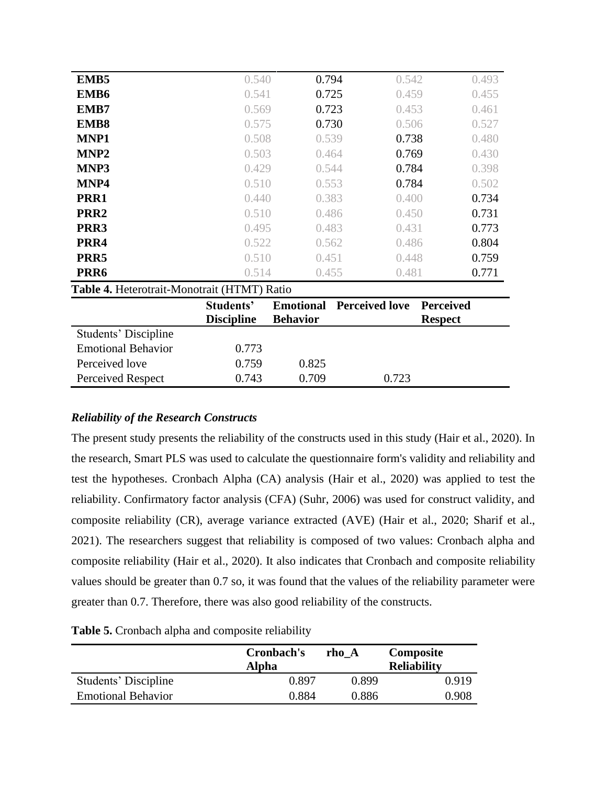| Perceived love                              | 0.759             | 0.825           |                                 |                  |
|---------------------------------------------|-------------------|-----------------|---------------------------------|------------------|
| <b>Emotional Behavior</b>                   | 0.773             |                 |                                 |                  |
| <b>Students' Discipline</b>                 |                   |                 |                                 |                  |
|                                             | <b>Discipline</b> | <b>Behavior</b> |                                 | <b>Respect</b>   |
|                                             | Students'         |                 | <b>Emotional Perceived love</b> | <b>Perceived</b> |
| Table 4. Heterotrait-Monotrait (HTMT) Ratio |                   |                 |                                 |                  |
| PRR <sub>6</sub>                            | 0.514             | 0.455           | 0.481                           | 0.771            |
| PRR5                                        | 0.510             | 0.451           | 0.448                           | 0.759            |
| PRR4                                        | 0.522             | 0.562           | 0.486                           | 0.804            |
| PRR3                                        | 0.495             | 0.483           | 0.431                           | 0.773            |
| PRR <sub>2</sub>                            | 0.510             | 0.486           | 0.450                           | 0.731            |
| PRR1                                        | 0.440             | 0.383           | 0.400                           | 0.734            |
| MNP4                                        | 0.510             | 0.553           | 0.784                           | 0.502            |
| MNP3                                        | 0.429             | 0.544           | 0.784                           | 0.398            |
| MNP <sub>2</sub>                            | 0.503             | 0.464           | 0.769                           | 0.430            |
| MNP1                                        | 0.508             | 0.539           | 0.738                           | 0.480            |
| EMB <sub>8</sub>                            | 0.575             | 0.730           | 0.506                           | 0.527            |
| EMB7                                        | 0.569             | 0.723           | 0.453                           | 0.461            |
| EMB6                                        | 0.541             | 0.725           | 0.459                           | 0.455            |
| EMB <sub>5</sub>                            | 0.540             | 0.794           | 0.542                           | 0.493            |

# *Reliability of the Research Constructs*

The present study presents the reliability of the constructs used in this study (Hair et al., 2020). In the research, Smart PLS was used to calculate the questionnaire form's validity and reliability and test the hypotheses. Cronbach Alpha (CA) analysis (Hair et al., 2020) was applied to test the reliability. Confirmatory factor analysis (CFA) (Suhr, 2006) was used for construct validity, and composite reliability (CR), average variance extracted (AVE) (Hair et al., 2020; Sharif et al., 2021). The researchers suggest that reliability is composed of two values: Cronbach alpha and composite reliability (Hair et al., 2020). It also indicates that Cronbach and composite reliability values should be greater than 0.7 so, it was found that the values of the reliability parameter were greater than 0.7. Therefore, there was also good reliability of the constructs.

|                           | Cronbach's | rho A | Composite          |
|---------------------------|------------|-------|--------------------|
|                           | Alpha      |       | <b>Reliability</b> |
| Students' Discipline      | 0.897      | 0.899 | 0.919              |
| <b>Emotional Behavior</b> | 0.884      | 0.886 | 0.908              |

#### **Table 5.** Cronbach alpha and composite reliability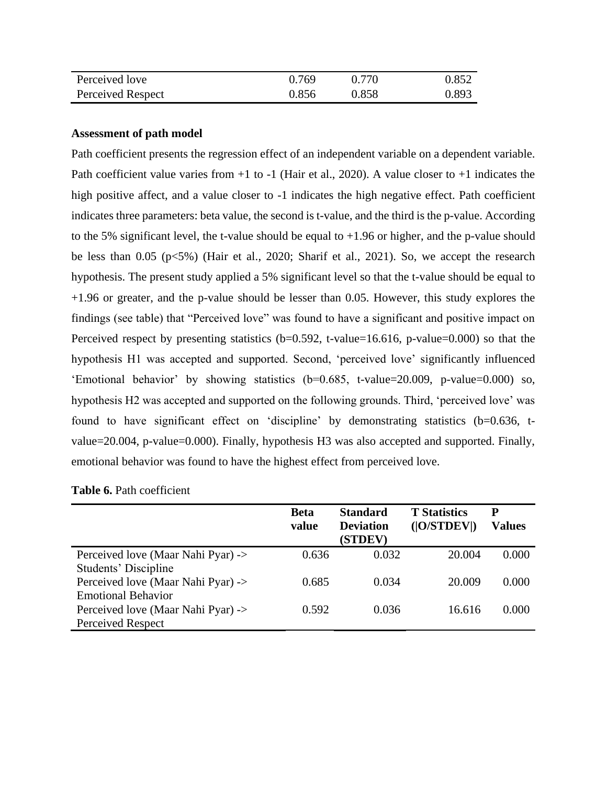| Perceived love    | 0.769 | 0.770 | 0.852 |
|-------------------|-------|-------|-------|
| Perceived Respect | 0.856 | 0.858 | 0.893 |

#### **Assessment of path model**

Path coefficient presents the regression effect of an independent variable on a dependent variable. Path coefficient value varies from  $+1$  to  $-1$  (Hair et al., 2020). A value closer to  $+1$  indicates the high positive affect, and a value closer to -1 indicates the high negative effect. Path coefficient indicates three parameters: beta value, the second is t-value, and the third is the p-value. According to the 5% significant level, the t-value should be equal to +1.96 or higher, and the p-value should be less than 0.05 (p<5%) (Hair et al., 2020; Sharif et al., 2021). So, we accept the research hypothesis. The present study applied a 5% significant level so that the t-value should be equal to +1.96 or greater, and the p-value should be lesser than 0.05. However, this study explores the findings (see table) that "Perceived love" was found to have a significant and positive impact on Perceived respect by presenting statistics (b=0.592, t-value=16.616, p-value=0.000) so that the hypothesis H1 was accepted and supported. Second, 'perceived love' significantly influenced 'Emotional behavior' by showing statistics (b=0.685, t-value=20.009, p-value=0.000) so, hypothesis H2 was accepted and supported on the following grounds. Third, 'perceived love' was found to have significant effect on 'discipline' by demonstrating statistics (b=0.636, tvalue=20.004, p-value=0.000). Finally, hypothesis H3 was also accepted and supported. Finally, emotional behavior was found to have the highest effect from perceived love.

|                                    | <b>Beta</b><br>value | <b>Standard</b><br><b>Deviation</b><br>(STDEV) | <b>T</b> Statistics<br>( O/STDEV ) | P<br><b>Values</b> |
|------------------------------------|----------------------|------------------------------------------------|------------------------------------|--------------------|
| Perceived love (Maar Nahi Pyar) -> | 0.636                | 0.032                                          | 20.004                             | 0.000              |
| Students' Discipline               |                      |                                                |                                    |                    |
| Perceived love (Maar Nahi Pyar) -> | 0.685                | 0.034                                          | 20.009                             | 0.000              |
| <b>Emotional Behavior</b>          |                      |                                                |                                    |                    |
| Perceived love (Maar Nahi Pyar) -> | 0.592                | 0.036                                          | 16.616                             | 0.000              |
| <b>Perceived Respect</b>           |                      |                                                |                                    |                    |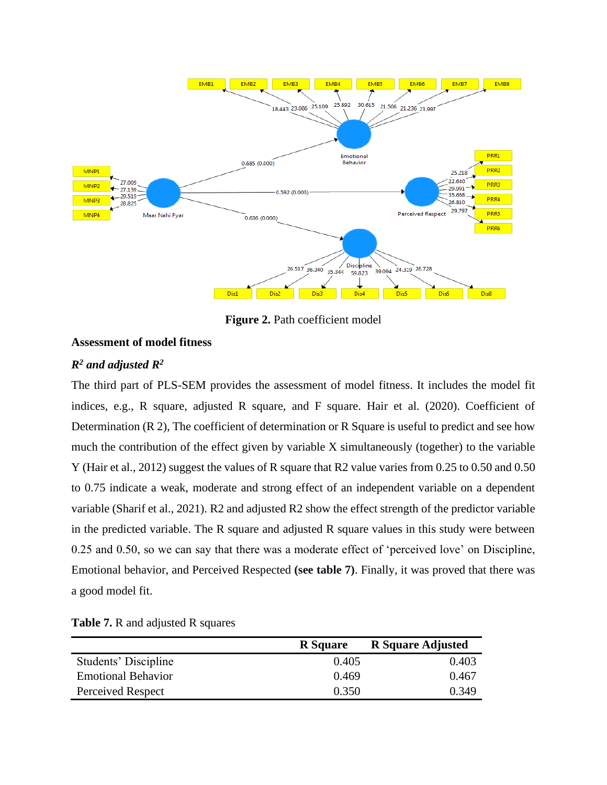

**Figure 2.** Path coefficient model

# **Assessment of model fitness**

# *R<sup>2</sup> and adjusted R<sup>2</sup>*

The third part of PLS-SEM provides the assessment of model fitness. It includes the model fit indices, e.g., R square, adjusted R square, and F square. Hair et al. (2020). Coefficient of Determination (R 2), The coefficient of determination or R Square is useful to predict and see how much the contribution of the effect given by variable X simultaneously (together) to the variable Y (Hair et al., 2012) suggest the values of R square that R2 value varies from 0.25 to 0.50 and 0.50 to 0.75 indicate a weak, moderate and strong effect of an independent variable on a dependent variable (Sharif et al., 2021). R2 and adjusted R2 show the effect strength of the predictor variable in the predicted variable. The R square and adjusted R square values in this study were between 0.25 and 0.50, so we can say that there was a moderate effect of 'perceived love' on Discipline, Emotional behavior, and Perceived Respected **(see table 7)**. Finally, it was proved that there was a good model fit.

|                           | <b>R</b> Square | <b>R</b> Square Adjusted |
|---------------------------|-----------------|--------------------------|
| Students' Discipline      | 0.405           | 0.403                    |
| <b>Emotional Behavior</b> | 0.469           | 0.467                    |
| Perceived Respect         | 0.350           | 0.349                    |

#### **Table 7.** R and adjusted R squares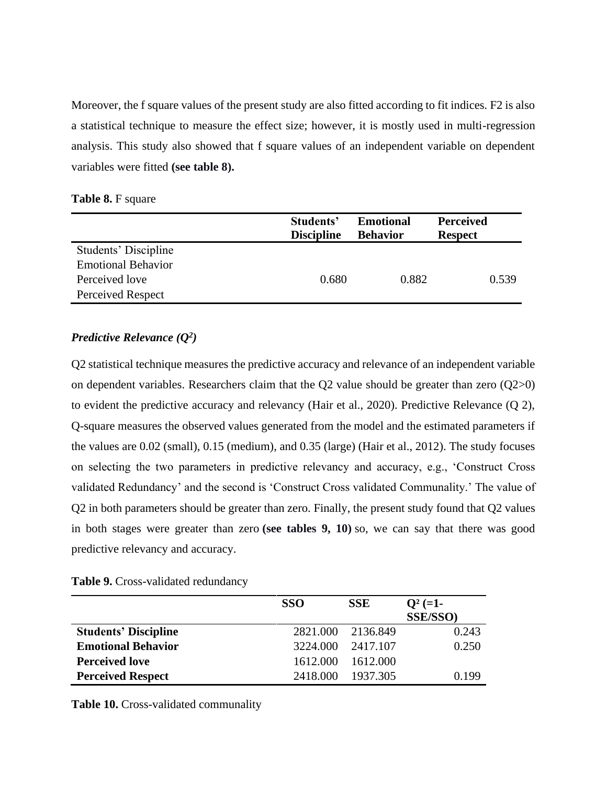Moreover, the f square values of the present study are also fitted according to fit indices. F2 is also a statistical technique to measure the effect size; however, it is mostly used in multi-regression analysis. This study also showed that f square values of an independent variable on dependent variables were fitted **(see table 8).**

**Table 8.** F square

|                           | Students'         | <b>Emotional</b> | <b>Perceived</b> |
|---------------------------|-------------------|------------------|------------------|
|                           | <b>Discipline</b> | <b>Behavior</b>  | <b>Respect</b>   |
| Students' Discipline      |                   |                  |                  |
| <b>Emotional Behavior</b> |                   |                  |                  |
| Perceived love            | 0.680             | 0.882            | 0.539            |
| Perceived Respect         |                   |                  |                  |

# *Predictive Relevance (Q<sup>2</sup> )*

Q2 statistical technique measures the predictive accuracy and relevance of an independent variable on dependent variables. Researchers claim that the Q2 value should be greater than zero (Q2>0) to evident the predictive accuracy and relevancy (Hair et al., 2020). Predictive Relevance (Q 2), Q-square measures the observed values generated from the model and the estimated parameters if the values are 0.02 (small), 0.15 (medium), and 0.35 (large) (Hair et al., 2012). The study focuses on selecting the two parameters in predictive relevancy and accuracy, e.g., 'Construct Cross validated Redundancy' and the second is 'Construct Cross validated Communality.' The value of Q2 in both parameters should be greater than zero. Finally, the present study found that Q2 values in both stages were greater than zero **(see tables 9, 10)** so, we can say that there was good predictive relevancy and accuracy.

|  |  | Table 9. Cross-validated redundancy |  |
|--|--|-------------------------------------|--|
|--|--|-------------------------------------|--|

|                             | <b>SSO</b> | <b>SSE</b>        | $Q^2$ (=1-       |
|-----------------------------|------------|-------------------|------------------|
|                             |            |                   | <b>SSE/SSO</b> ) |
| <b>Students' Discipline</b> |            | 2821.000 2136.849 | 0.243            |
| <b>Emotional Behavior</b>   | 3224.000   | 2417.107          | 0.250            |
| <b>Perceived love</b>       | 1612.000   | 1612.000          |                  |
| <b>Perceived Respect</b>    | 2418.000   | 1937.305          | 0.199            |

**Table 10.** Cross-validated communality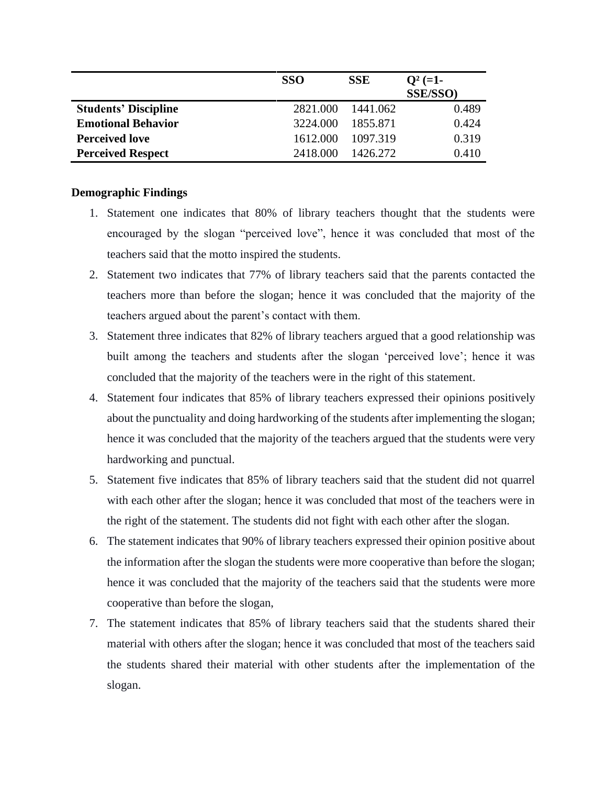|                             | <b>SSO</b> | <b>SSE</b> | $Q^2$ (=1-      |
|-----------------------------|------------|------------|-----------------|
|                             |            |            | <b>SSE/SSO)</b> |
| <b>Students' Discipline</b> | 2821.000   | 1441.062   | 0.489           |
| <b>Emotional Behavior</b>   | 3224.000   | 1855.871   | 0.424           |
| <b>Perceived love</b>       | 1612.000   | 1097.319   | 0.319           |
| <b>Perceived Respect</b>    | 2418.000   | 1426.272   | 0.410           |

## **Demographic Findings**

- 1. Statement one indicates that 80% of library teachers thought that the students were encouraged by the slogan "perceived love", hence it was concluded that most of the teachers said that the motto inspired the students.
- 2. Statement two indicates that 77% of library teachers said that the parents contacted the teachers more than before the slogan; hence it was concluded that the majority of the teachers argued about the parent's contact with them.
- 3. Statement three indicates that 82% of library teachers argued that a good relationship was built among the teachers and students after the slogan 'perceived love'; hence it was concluded that the majority of the teachers were in the right of this statement.
- 4. Statement four indicates that 85% of library teachers expressed their opinions positively about the punctuality and doing hardworking of the students after implementing the slogan; hence it was concluded that the majority of the teachers argued that the students were very hardworking and punctual.
- 5. Statement five indicates that 85% of library teachers said that the student did not quarrel with each other after the slogan; hence it was concluded that most of the teachers were in the right of the statement. The students did not fight with each other after the slogan.
- 6. The statement indicates that 90% of library teachers expressed their opinion positive about the information after the slogan the students were more cooperative than before the slogan; hence it was concluded that the majority of the teachers said that the students were more cooperative than before the slogan,
- 7. The statement indicates that 85% of library teachers said that the students shared their material with others after the slogan; hence it was concluded that most of the teachers said the students shared their material with other students after the implementation of the slogan.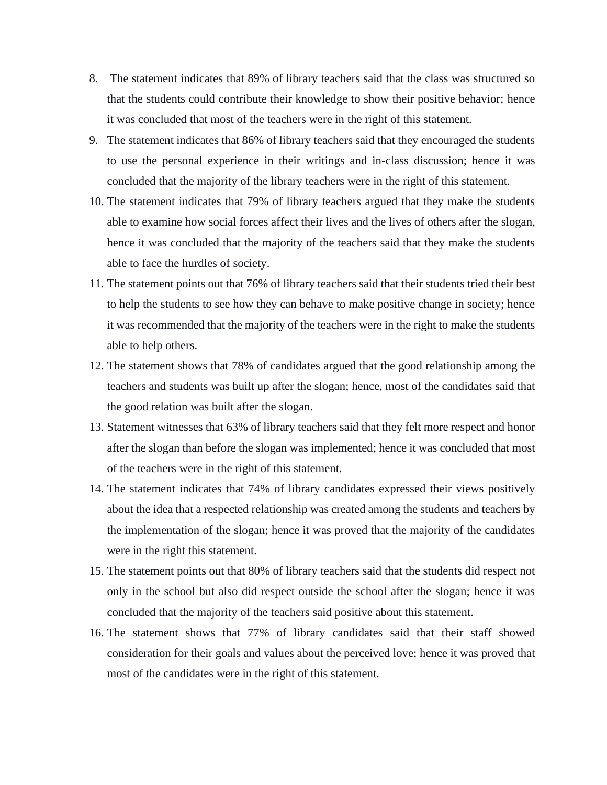- 8. The statement indicates that 89% of library teachers said that the class was structured so that the students could contribute their knowledge to show their positive behavior; hence it was concluded that most of the teachers were in the right of this statement.
- 9. The statement indicates that 86% of library teachers said that they encouraged the students to use the personal experience in their writings and in-class discussion; hence it was concluded that the majority of the library teachers were in the right of this statement.
- 10. The statement indicates that 79% of library teachers argued that they make the students able to examine how social forces affect their lives and the lives of others after the slogan, hence it was concluded that the majority of the teachers said that they make the students able to face the hurdles of society.
- 11. The statement points out that 76% of library teachers said that their students tried their best to help the students to see how they can behave to make positive change in society; hence it was recommended that the majority of the teachers were in the right to make the students able to help others.
- 12. The statement shows that 78% of candidates argued that the good relationship among the teachers and students was built up after the slogan; hence, most of the candidates said that the good relation was built after the slogan.
- 13. Statement witnesses that 63% of library teachers said that they felt more respect and honor after the slogan than before the slogan was implemented; hence it was concluded that most of the teachers were in the right of this statement.
- 14. The statement indicates that 74% of library candidates expressed their views positively about the idea that a respected relationship was created among the students and teachers by the implementation of the slogan; hence it was proved that the majority of the candidates were in the right this statement.
- 15. The statement points out that 80% of library teachers said that the students did respect not only in the school but also did respect outside the school after the slogan; hence it was concluded that the majority of the teachers said positive about this statement.
- 16. The statement shows that 77% of library candidates said that their staff showed consideration for their goals and values about the perceived love; hence it was proved that most of the candidates were in the right of this statement.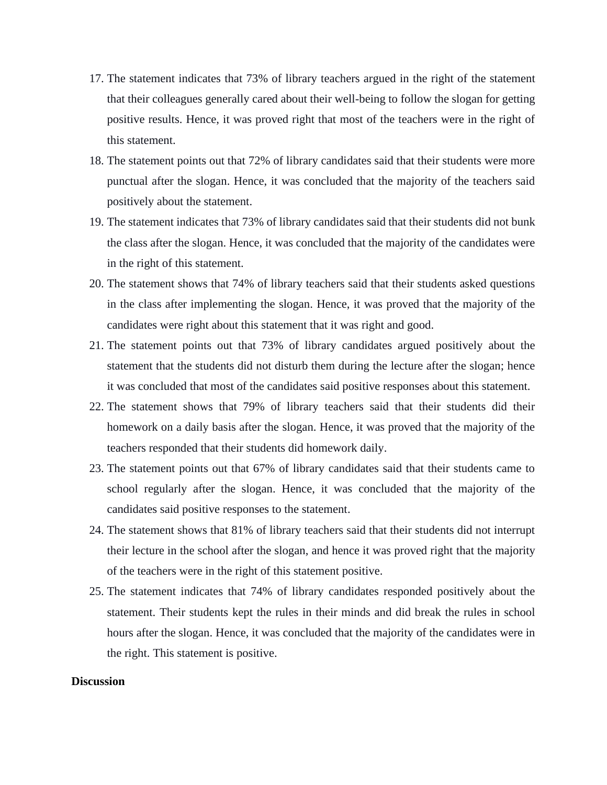- 17. The statement indicates that 73% of library teachers argued in the right of the statement that their colleagues generally cared about their well-being to follow the slogan for getting positive results. Hence, it was proved right that most of the teachers were in the right of this statement.
- 18. The statement points out that 72% of library candidates said that their students were more punctual after the slogan. Hence, it was concluded that the majority of the teachers said positively about the statement.
- 19. The statement indicates that 73% of library candidates said that their students did not bunk the class after the slogan. Hence, it was concluded that the majority of the candidates were in the right of this statement.
- 20. The statement shows that 74% of library teachers said that their students asked questions in the class after implementing the slogan. Hence, it was proved that the majority of the candidates were right about this statement that it was right and good.
- 21. The statement points out that 73% of library candidates argued positively about the statement that the students did not disturb them during the lecture after the slogan; hence it was concluded that most of the candidates said positive responses about this statement.
- 22. The statement shows that 79% of library teachers said that their students did their homework on a daily basis after the slogan. Hence, it was proved that the majority of the teachers responded that their students did homework daily.
- 23. The statement points out that 67% of library candidates said that their students came to school regularly after the slogan. Hence, it was concluded that the majority of the candidates said positive responses to the statement.
- 24. The statement shows that 81% of library teachers said that their students did not interrupt their lecture in the school after the slogan, and hence it was proved right that the majority of the teachers were in the right of this statement positive.
- 25. The statement indicates that 74% of library candidates responded positively about the statement. Their students kept the rules in their minds and did break the rules in school hours after the slogan. Hence, it was concluded that the majority of the candidates were in the right. This statement is positive.

#### **Discussion**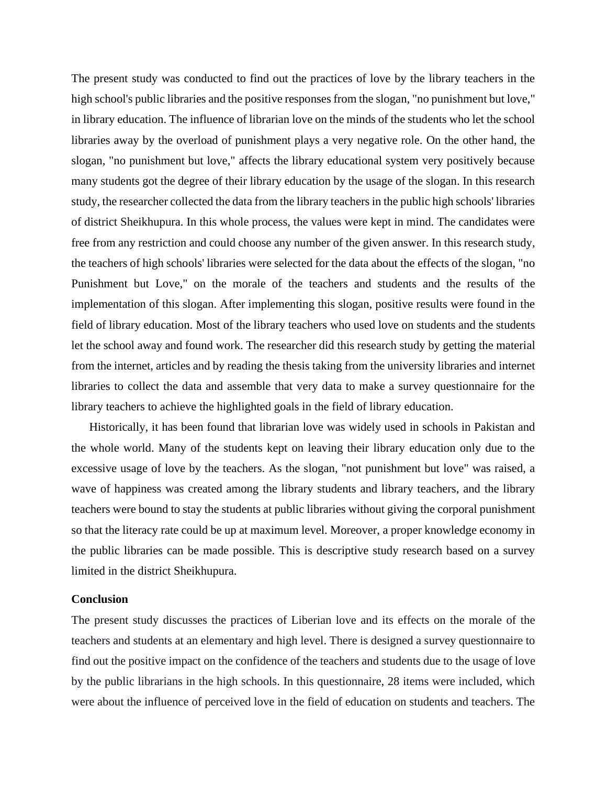The present study was conducted to find out the practices of love by the library teachers in the high school's public libraries and the positive responses from the slogan, "no punishment but love," in library education. The influence of librarian love on the minds of the students who let the school libraries away by the overload of punishment plays a very negative role. On the other hand, the slogan, "no punishment but love," affects the library educational system very positively because many students got the degree of their library education by the usage of the slogan. In this research study, the researcher collected the data from the library teachers in the public high schools' libraries of district Sheikhupura. In this whole process, the values were kept in mind. The candidates were free from any restriction and could choose any number of the given answer. In this research study, the teachers of high schools' libraries were selected for the data about the effects of the slogan, "no Punishment but Love," on the morale of the teachers and students and the results of the implementation of this slogan. After implementing this slogan, positive results were found in the field of library education. Most of the library teachers who used love on students and the students let the school away and found work. The researcher did this research study by getting the material from the internet, articles and by reading the thesis taking from the university libraries and internet libraries to collect the data and assemble that very data to make a survey questionnaire for the library teachers to achieve the highlighted goals in the field of library education.

Historically, it has been found that librarian love was widely used in schools in Pakistan and the whole world. Many of the students kept on leaving their library education only due to the excessive usage of love by the teachers. As the slogan, "not punishment but love" was raised, a wave of happiness was created among the library students and library teachers, and the library teachers were bound to stay the students at public libraries without giving the corporal punishment so that the literacy rate could be up at maximum level. Moreover, a proper knowledge economy in the public libraries can be made possible. This is descriptive study research based on a survey limited in the district Sheikhupura.

#### **Conclusion**

The present study discusses the practices of Liberian love and its effects on the morale of the teachers and students at an elementary and high level. There is designed a survey questionnaire to find out the positive impact on the confidence of the teachers and students due to the usage of love by the public librarians in the high schools. In this questionnaire, 28 items were included, which were about the influence of perceived love in the field of education on students and teachers. The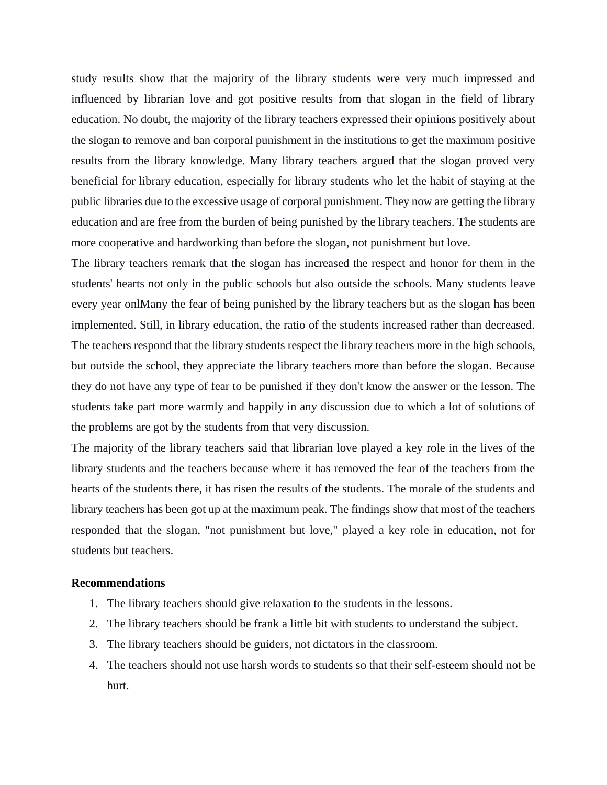study results show that the majority of the library students were very much impressed and influenced by librarian love and got positive results from that slogan in the field of library education. No doubt, the majority of the library teachers expressed their opinions positively about the slogan to remove and ban corporal punishment in the institutions to get the maximum positive results from the library knowledge. Many library teachers argued that the slogan proved very beneficial for library education, especially for library students who let the habit of staying at the public libraries due to the excessive usage of corporal punishment. They now are getting the library education and are free from the burden of being punished by the library teachers. The students are more cooperative and hardworking than before the slogan, not punishment but love.

The library teachers remark that the slogan has increased the respect and honor for them in the students' hearts not only in the public schools but also outside the schools. Many students leave every year onlMany the fear of being punished by the library teachers but as the slogan has been implemented. Still, in library education, the ratio of the students increased rather than decreased. The teachers respond that the library students respect the library teachers more in the high schools, but outside the school, they appreciate the library teachers more than before the slogan. Because they do not have any type of fear to be punished if they don't know the answer or the lesson. The students take part more warmly and happily in any discussion due to which a lot of solutions of the problems are got by the students from that very discussion.

The majority of the library teachers said that librarian love played a key role in the lives of the library students and the teachers because where it has removed the fear of the teachers from the hearts of the students there, it has risen the results of the students. The morale of the students and library teachers has been got up at the maximum peak. The findings show that most of the teachers responded that the slogan, "not punishment but love," played a key role in education, not for students but teachers.

#### **Recommendations**

- 1. The library teachers should give relaxation to the students in the lessons.
- 2. The library teachers should be frank a little bit with students to understand the subject.
- 3. The library teachers should be guiders, not dictators in the classroom.
- 4. The teachers should not use harsh words to students so that their self-esteem should not be hurt.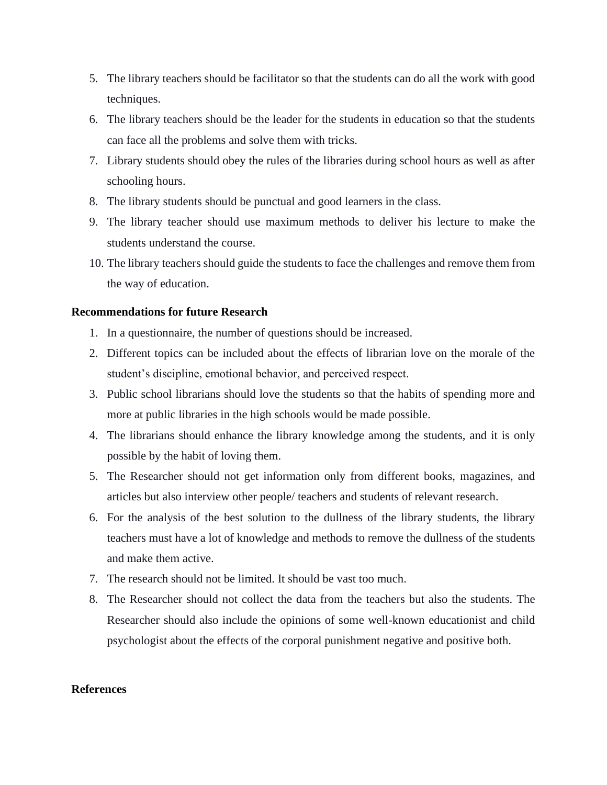- 5. The library teachers should be facilitator so that the students can do all the work with good techniques.
- 6. The library teachers should be the leader for the students in education so that the students can face all the problems and solve them with tricks.
- 7. Library students should obey the rules of the libraries during school hours as well as after schooling hours.
- 8. The library students should be punctual and good learners in the class.
- 9. The library teacher should use maximum methods to deliver his lecture to make the students understand the course.
- 10. The library teachers should guide the students to face the challenges and remove them from the way of education.

# **Recommendations for future Research**

- 1. In a questionnaire, the number of questions should be increased.
- 2. Different topics can be included about the effects of librarian love on the morale of the student's discipline, emotional behavior, and perceived respect.
- 3. Public school librarians should love the students so that the habits of spending more and more at public libraries in the high schools would be made possible.
- 4. The librarians should enhance the library knowledge among the students, and it is only possible by the habit of loving them.
- 5. The Researcher should not get information only from different books, magazines, and articles but also interview other people/ teachers and students of relevant research.
- 6. For the analysis of the best solution to the dullness of the library students, the library teachers must have a lot of knowledge and methods to remove the dullness of the students and make them active.
- 7. The research should not be limited. It should be vast too much.
- 8. The Researcher should not collect the data from the teachers but also the students. The Researcher should also include the opinions of some well-known educationist and child psychologist about the effects of the corporal punishment negative and positive both.

# **References**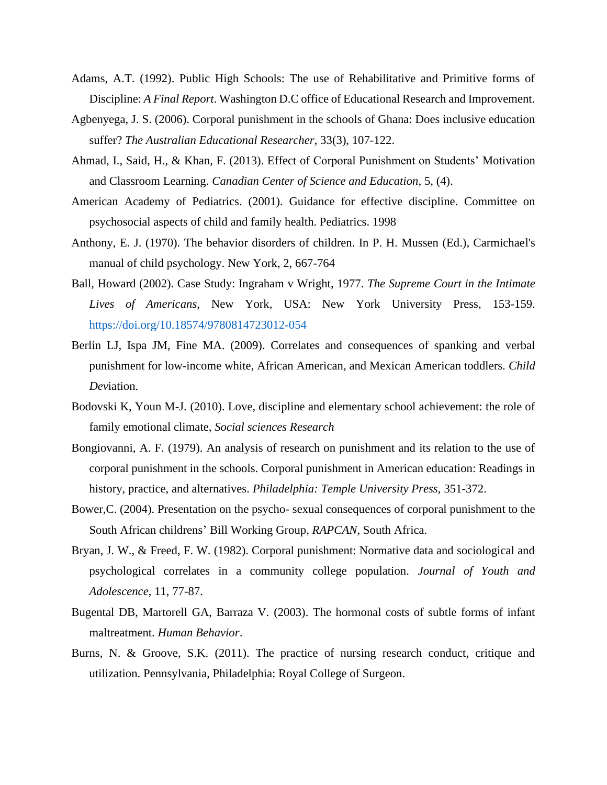- Adams, A.T. (1992). Public High Schools: The use of Rehabilitative and Primitive forms of Discipline: *A Final Report*. Washington D.C office of Educational Research and Improvement.
- Agbenyega, J. S. (2006). Corporal punishment in the schools of Ghana: Does inclusive education suffer? *The Australian Educational Researcher*, 33(3), 107-122.
- Ahmad, I., Said, H., & Khan, F. (2013). Effect of Corporal Punishment on Students' Motivation and Classroom Learning. *Canadian Center of Science and Education*, 5, (4).
- American Academy of Pediatrics. (2001). Guidance for effective discipline. Committee on psychosocial aspects of child and family health. Pediatrics. 1998
- Anthony, E. J. (1970). The behavior disorders of children. In P. H. Mussen (Ed.), Carmichael's manual of child psychology. New York, 2, 667-764
- Ball, Howard (2002). Case Study: Ingraham v Wright, 1977. *The Supreme Court in the Intimate Lives of Americans*, New York, USA: New York University Press, 153-159. https://doi.org/10.18574/9780814723012-054
- Berlin LJ, Ispa JM, Fine MA. (2009). Correlates and consequences of spanking and verbal punishment for low-income white, African American, and Mexican American toddlers. *Child Dev*iation.
- Bodovski K, Youn M-J. (2010). Love, discipline and elementary school achievement: the role of family emotional climate, *Social sciences Research*
- Bongiovanni, A. F. (1979). An analysis of research on punishment and its relation to the use of corporal punishment in the schools. Corporal punishment in American education: Readings in history, practice, and alternatives. *Philadelphia: Temple University Press*, 351-372.
- Bower,C. (2004). Presentation on the psycho- sexual consequences of corporal punishment to the South African childrens' Bill Working Group, *RAPCAN*, South Africa.
- Bryan, J. W., & Freed, F. W. (1982). Corporal punishment: Normative data and sociological and psychological correlates in a community college population. *Journal of Youth and Adolescence*, 11, 77-87.
- Bugental DB, Martorell GA, Barraza V. (2003). The hormonal costs of subtle forms of infant maltreatment. *Human Behavior*.
- Burns, N. & Groove, S.K. (2011). The practice of nursing research conduct, critique and utilization. Pennsylvania, Philadelphia: Royal College of Surgeon.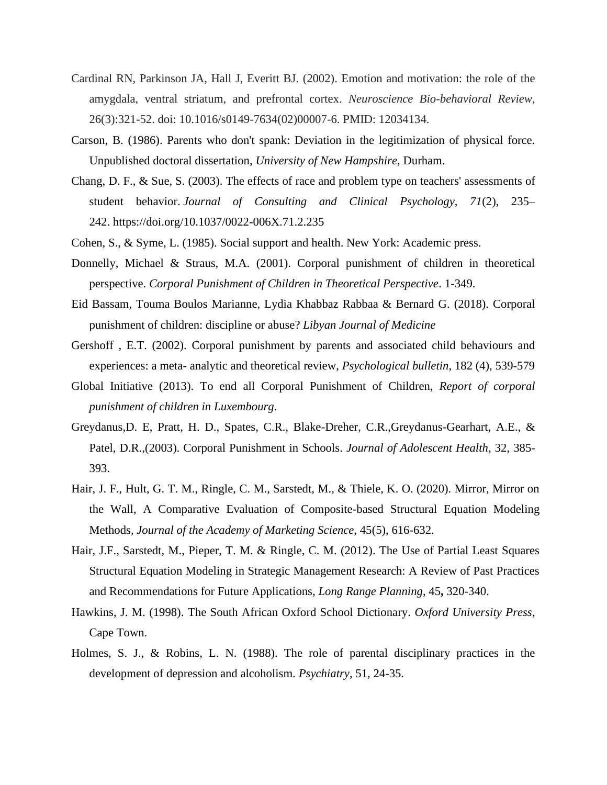- Cardinal RN, Parkinson JA, Hall J, Everitt BJ. (2002). Emotion and motivation: the role of the amygdala, ventral striatum, and prefrontal cortex. *Neuroscience Bio-behavioral Review*, 26(3):321-52. doi: 10.1016/s0149-7634(02)00007-6. PMID: 12034134.
- Carson, B. (1986). Parents who don't spank: Deviation in the legitimization of physical force. Unpublished doctoral dissertation, *University of New Hampshire*, Durham.
- Chang, D. F., & Sue, S. (2003). The effects of race and problem type on teachers' assessments of student behavior. *Journal of Consulting and Clinical Psychology, 71*(2), 235– 242. https://doi.org/10.1037/0022-006X.71.2.235
- Cohen, S., & Syme, L. (1985). Social support and health. New York: Academic press.
- Donnelly, Michael & Straus, M.A. (2001). Corporal punishment of children in theoretical perspective. *Corporal Punishment of Children in Theoretical Perspective*. 1-349.
- Eid Bassam, Touma Boulos Marianne, Lydia Khabbaz Rabbaa & Bernard G. (2018). Corporal punishment of children: discipline or abuse? *Libyan Journal of Medicine*
- Gershoff , E.T. (2002). Corporal punishment by parents and associated child behaviours and experiences: a meta- analytic and theoretical review, *Psychological bulletin*, 182 (4), 539-579
- Global Initiative (2013). To end all Corporal Punishment of Children, *Report of corporal punishment of children in Luxembourg*.
- Greydanus,D. E, Pratt, H. D., Spates, C.R., Blake-Dreher, C.R.,Greydanus-Gearhart, A.E., & Patel, D.R.,(2003). Corporal Punishment in Schools. *Journal of Adolescent Health*, 32, 385- 393.
- Hair, J. F., Hult, G. T. M., Ringle, C. M., Sarstedt, M., & Thiele, K. O. (2020). Mirror, Mirror on the Wall, A Comparative Evaluation of Composite-based Structural Equation Modeling Methods*, Journal of the Academy of Marketing Science*, 45(5), 616-632.
- Hair, J.F., Sarstedt, M., Pieper, T. M. & Ringle, C. M. (2012). The Use of Partial Least Squares Structural Equation Modeling in Strategic Management Research: A Review of Past Practices and Recommendations for Future Applications, *Long Range Planning*, 45**,** 320-340.
- Hawkins, J. M. (1998). The South African Oxford School Dictionary. *Oxford University Press*, Cape Town.
- Holmes, S. J., & Robins, L. N. (1988). The role of parental disciplinary practices in the development of depression and alcoholism. *Psychiatry*, 51, 24-35.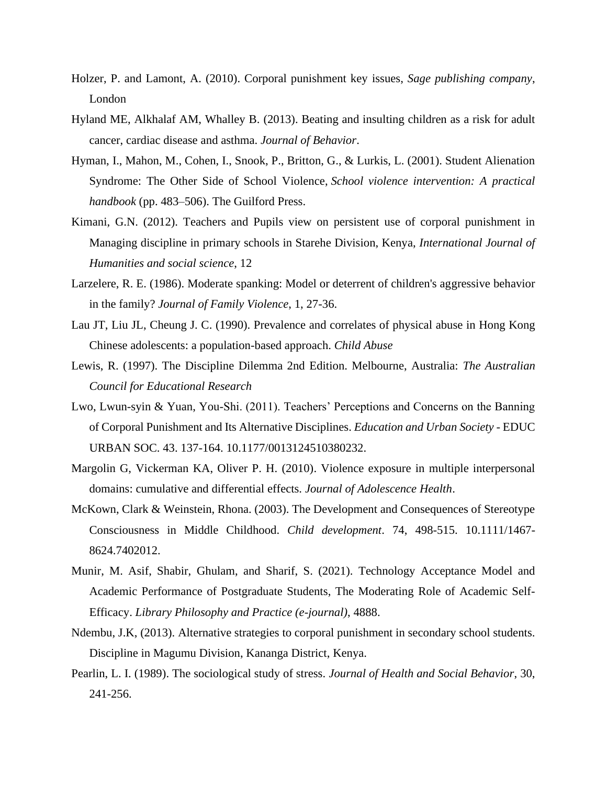- Holzer, P. and Lamont, A. (2010). Corporal punishment key issues, *Sage publishing company*, London
- Hyland ME, Alkhalaf AM, Whalley B. (2013). Beating and insulting children as a risk for adult cancer, cardiac disease and asthma. *Journal of Behavior*.
- Hyman, I., Mahon, M., Cohen, I., Snook, P., Britton, G., & Lurkis, L. (2001). Student Alienation Syndrome: The Other Side of School Violence, *School violence intervention: A practical handbook* (pp. 483–506). The Guilford Press.
- Kimani, G.N. (2012). Teachers and Pupils view on persistent use of corporal punishment in Managing discipline in primary schools in Starehe Division, Kenya, *International Journal of Humanities and social science*, 12
- Larzelere, R. E. (1986). Moderate spanking: Model or deterrent of children's aggressive behavior in the family? *Journal of Family Violence*, 1, 27-36.
- Lau JT, Liu JL, Cheung J. C. (1990). Prevalence and correlates of physical abuse in Hong Kong Chinese adolescents: a population-based approach. *Child Abuse*
- Lewis, R. (1997). The Discipline Dilemma 2nd Edition. Melbourne, Australia: *The Australian Council for Educational Research*
- Lwo, Lwun-syin & Yuan, You-Shi. (2011). Teachers' Perceptions and Concerns on the Banning of Corporal Punishment and Its Alternative Disciplines. *Education and Urban Society* - EDUC URBAN SOC. 43. 137-164. 10.1177/0013124510380232.
- Margolin G, Vickerman KA, Oliver P. H. (2010). Violence exposure in multiple interpersonal domains: cumulative and differential effects. *Journal of Adolescence Health*.
- McKown, Clark & Weinstein, Rhona. (2003). The Development and Consequences of Stereotype Consciousness in Middle Childhood. *Child development*. 74, 498-515. 10.1111/1467- 8624.7402012.
- Munir, M. Asif, Shabir, Ghulam, and Sharif, S. (2021). Technology Acceptance Model and Academic Performance of Postgraduate Students, The Moderating Role of Academic Self-Efficacy. *Library Philosophy and Practice (e-journal)*, 4888.
- Ndembu, J.K, (2013). Alternative strategies to corporal punishment in secondary school students. Discipline in Magumu Division, Kananga District, Kenya.
- Pearlin, L. I. (1989). The sociological study of stress. *Journal of Health and Social Behavior*, 30, 241-256.